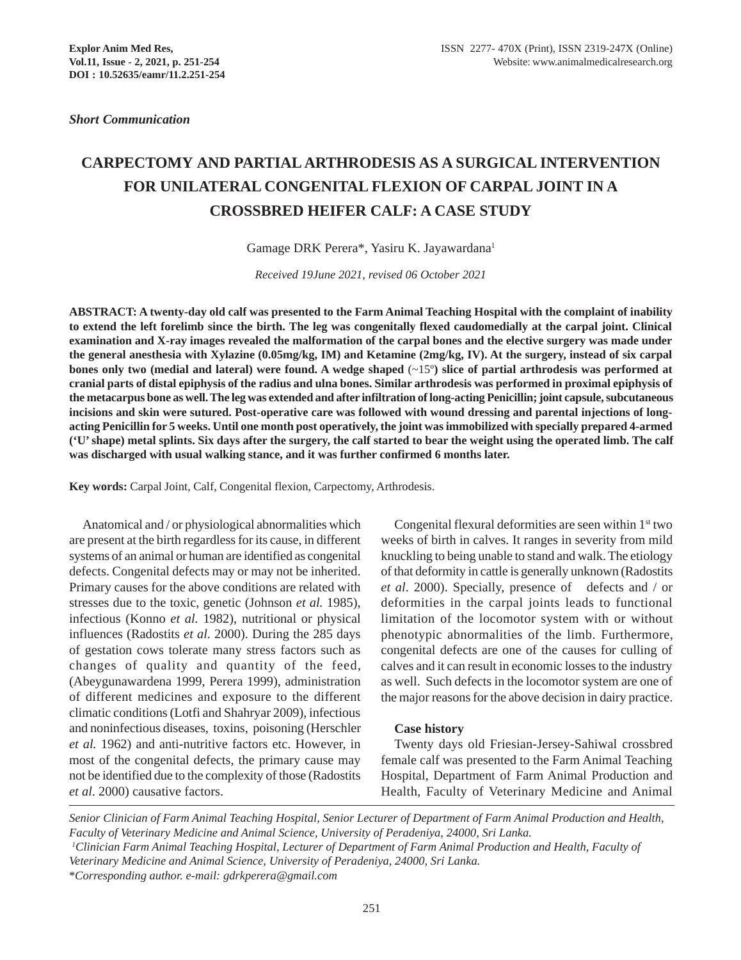*Short Communication*

# **CARPECTOMY AND PARTIAL ARTHRODESIS AS A SURGICAL INTERVENTION FOR UNILATERAL CONGENITAL FLEXION OF CARPAL JOINT IN A CROSSBRED HEIFER CALF: A CASE STUDY**

Gamage DRK Perera\*, Yasiru K. Jayawardana1

*Received 19June 2021, revised 06 October 2021*

**ABSTRACT: A twenty-day old calf was presented to the Farm Animal Teaching Hospital with the complaint of inability to extend the left forelimb since the birth. The leg was congenitally flexed caudomedially at the carpal joint. Clinical examination and X-ray images revealed the malformation of the carpal bones and the elective surgery was made under the general anesthesia with Xylazine (0.05mg/kg, IM) and Ketamine (2mg/kg, IV). At the surgery, instead of six carpal bones only two (medial and lateral) were found. A wedge shaped** (~15º**) slice of partial arthrodesis was performed at cranial parts of distal epiphysis of the radius and ulna bones. Similar arthrodesis was performed in proximal epiphysis of the metacarpus bone as well. The leg was extended and after infiltration of long-acting Penicillin; joint capsule, subcutaneous incisions and skin were sutured. Post-operative care was followed with wound dressing and parental injections of longacting Penicillin for 5 weeks. Until one month post operatively, the joint was immobilized with specially prepared 4-armed ('U' shape) metal splints. Six days after the surgery, the calf started to bear the weight using the operated limb. The calf was discharged with usual walking stance, and it was further confirmed 6 months later.**

**Key words:** Carpal Joint, Calf, Congenital flexion, Carpectomy, Arthrodesis.

Anatomical and / or physiological abnormalities which are present at the birth regardless for its cause, in different systems of an animal or human are identified as congenital defects. Congenital defects may or may not be inherited. Primary causes for the above conditions are related with stresses due to the toxic, genetic (Johnson *et al.* 1985), infectious (Konno *et al.* 1982), nutritional or physical influences (Radostits *et al*. 2000). During the 285 days of gestation cows tolerate many stress factors such as changes of quality and quantity of the feed, (Abeygunawardena 1999, Perera 1999), administration of different medicines and exposure to the different climatic conditions (Lotfi and Shahryar 2009), infectious and noninfectious diseases, toxins, poisoning (Herschler *et al.* 1962) and anti-nutritive factors etc. However, in most of the congenital defects, the primary cause may not be identified due to the complexity of those (Radostits *et al*. 2000) causative factors.

Congenital flexural deformities are seen within 1<sup>st</sup> two weeks of birth in calves. It ranges in severity from mild knuckling to being unable to stand and walk. The etiology of that deformity in cattle is generally unknown (Radostits *et al*. 2000). Specially, presence of defects and / or deformities in the carpal joints leads to functional limitation of the locomotor system with or without phenotypic abnormalities of the limb. Furthermore, congenital defects are one of the causes for culling of calves and it can result in economic losses to the industry as well. Such defects in the locomotor system are one of the major reasons for the above decision in dairy practice.

#### **Case history**

Twenty days old Friesian-Jersey-Sahiwal crossbred female calf was presented to the Farm Animal Teaching Hospital, Department of Farm Animal Production and Health, Faculty of Veterinary Medicine and Animal

*Senior Clinician of Farm Animal Teaching Hospital, Senior Lecturer of Department of Farm Animal Production and Health, Faculty of Veterinary Medicine and Animal Science, University of Peradeniya, 24000, Sri Lanka.*

*<sup>1</sup> Clinician Farm Animal Teaching Hospital, Lecturer of Department of Farm Animal Production and Health, Faculty of Veterinary Medicine and Animal Science, University of Peradeniya, 24000, Sri Lanka.*

<sup>\*</sup>*Corresponding author. e-mail: gdrkperera@gmail.com*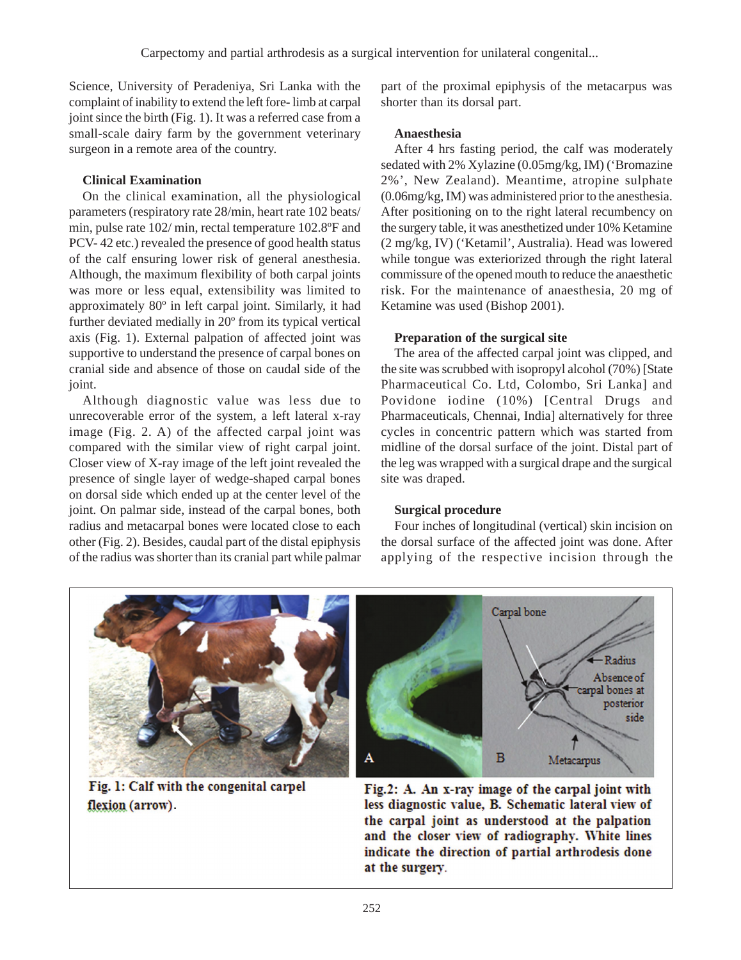Science, University of Peradeniya, Sri Lanka with the complaint of inability to extend the left fore- limb at carpal joint since the birth (Fig. 1). It was a referred case from a small-scale dairy farm by the government veterinary surgeon in a remote area of the country.

## **Clinical Examination**

On the clinical examination, all the physiological parameters (respiratory rate 28/min, heart rate 102 beats/ min, pulse rate 102/ min, rectal temperature 102.8ºF and PCV- 42 etc.) revealed the presence of good health status of the calf ensuring lower risk of general anesthesia. Although, the maximum flexibility of both carpal joints was more or less equal, extensibility was limited to approximately 80º in left carpal joint. Similarly, it had further deviated medially in 20º from its typical vertical axis (Fig. 1). External palpation of affected joint was supportive to understand the presence of carpal bones on cranial side and absence of those on caudal side of the joint.

Although diagnostic value was less due to unrecoverable error of the system, a left lateral x-ray image (Fig. 2. A) of the affected carpal joint was compared with the similar view of right carpal joint. Closer view of X-ray image of the left joint revealed the presence of single layer of wedge-shaped carpal bones on dorsal side which ended up at the center level of the joint. On palmar side, instead of the carpal bones, both radius and metacarpal bones were located close to each other (Fig. 2). Besides, caudal part of the distal epiphysis of the radius was shorter than its cranial part while palmar part of the proximal epiphysis of the metacarpus was shorter than its dorsal part.

### **Anaesthesia**

After 4 hrs fasting period, the calf was moderately sedated with 2% Xylazine (0.05mg/kg, IM) ('Bromazine 2%', New Zealand). Meantime, atropine sulphate (0.06mg/kg, IM) was administered prior to the anesthesia. After positioning on to the right lateral recumbency on the surgery table, it was anesthetized under 10% Ketamine (2 mg/kg, IV) ('Ketamil', Australia). Head was lowered while tongue was exteriorized through the right lateral commissure of the opened mouth to reduce the anaesthetic risk. For the maintenance of anaesthesia, 20 mg of Ketamine was used (Bishop 2001).

# **Preparation of the surgical site**

The area of the affected carpal joint was clipped, and the site was scrubbed with isopropyl alcohol (70%) [State Pharmaceutical Co. Ltd, Colombo, Sri Lanka] and Povidone iodine (10%) [Central Drugs and Pharmaceuticals, Chennai, India] alternatively for three cycles in concentric pattern which was started from midline of the dorsal surface of the joint. Distal part of the leg was wrapped with a surgical drape and the surgical site was draped.

### **Surgical procedure**

Four inches of longitudinal (vertical) skin incision on the dorsal surface of the affected joint was done. After applying of the respective incision through the



Fig. 1: Calf with the congenital carpel flexion (arrow).

Fig.2: A. An x-ray image of the carpal joint with less diagnostic value, B. Schematic lateral view of the carpal joint as understood at the palpation and the closer view of radiography. White lines indicate the direction of partial arthrodesis done at the surgery.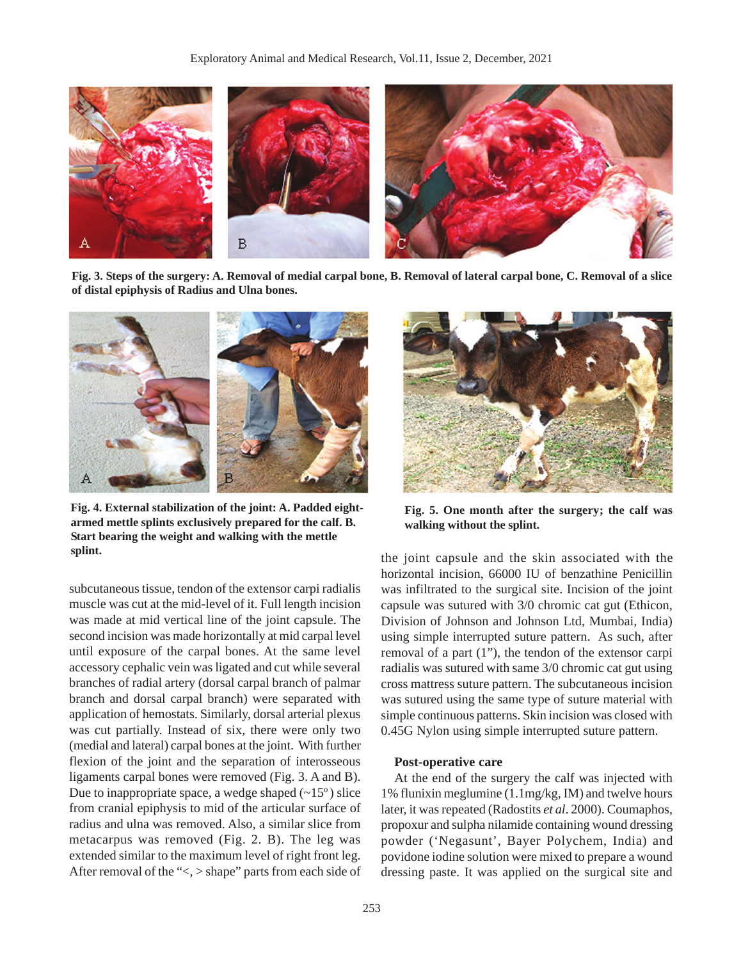

**Fig. 3. Steps of the surgery: A. Removal of medial carpal bone, B. Removal of lateral carpal bone, C. Removal of a slice of distal epiphysis of Radius and Ulna bones.**



**Fig. 4. External stabilization of the joint: A. Padded eightarmed mettle splints exclusively prepared for the calf. B. Start bearing the weight and walking with the mettle splint.**

subcutaneous tissue, tendon of the extensor carpi radialis muscle was cut at the mid-level of it. Full length incision was made at mid vertical line of the joint capsule. The second incision was made horizontally at mid carpal level until exposure of the carpal bones. At the same level accessory cephalic vein was ligated and cut while several branches of radial artery (dorsal carpal branch of palmar branch and dorsal carpal branch) were separated with application of hemostats. Similarly, dorsal arterial plexus was cut partially. Instead of six, there were only two (medial and lateral) carpal bones at the joint. With further flexion of the joint and the separation of interosseous ligaments carpal bones were removed (Fig. 3. A and B). Due to inappropriate space, a wedge shaped  $(-15)$  slice from cranial epiphysis to mid of the articular surface of radius and ulna was removed. Also, a similar slice from metacarpus was removed (Fig. 2. B). The leg was extended similar to the maximum level of right front leg. After removal of the "<, > shape" parts from each side of



**Fig. 5. One month after the surgery; the calf was walking without the splint.**

the joint capsule and the skin associated with the horizontal incision, 66000 IU of benzathine Penicillin was infiltrated to the surgical site. Incision of the joint capsule was sutured with 3/0 chromic cat gut (Ethicon, Division of Johnson and Johnson Ltd, Mumbai, India) using simple interrupted suture pattern. As such, after removal of a part (1"), the tendon of the extensor carpi radialis was sutured with same 3/0 chromic cat gut using cross mattress suture pattern. The subcutaneous incision was sutured using the same type of suture material with simple continuous patterns. Skin incision was closed with 0.45G Nylon using simple interrupted suture pattern.

#### **Post-operative care**

At the end of the surgery the calf was injected with 1% flunixin meglumine (1.1mg/kg, IM) and twelve hours later, it was repeated (Radostits *et al*. 2000). Coumaphos, propoxur and sulpha nilamide containing wound dressing powder ('Negasunt', Bayer Polychem, India) and povidone iodine solution were mixed to prepare a wound dressing paste. It was applied on the surgical site and